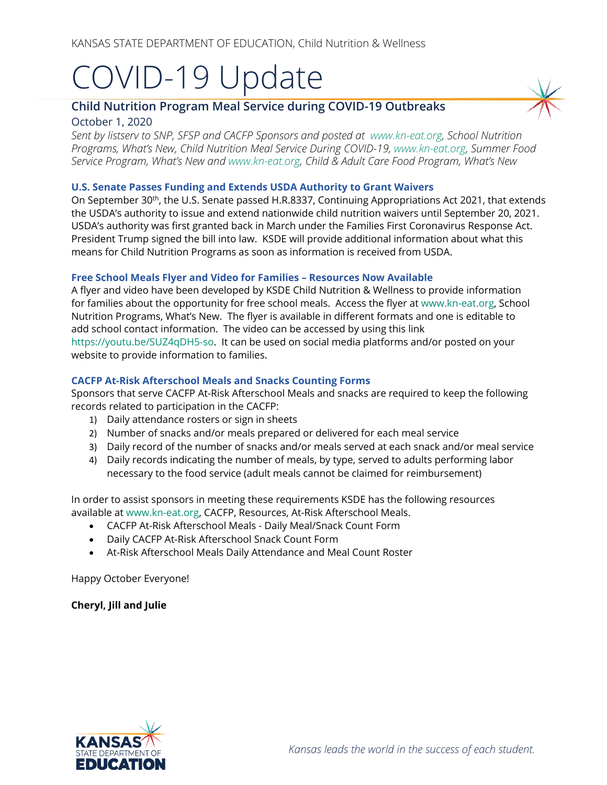# COVID-19 Update

# **Child Nutrition Program Meal Service during COVID-19 Outbreaks** October 1, 2020

*Sent by listserv to SNP, SFSP and CACFP Sponsors and posted at [www.kn-eat.org,](http://www.kn-eat.org/) School Nutrition Programs, What's New, Child Nutrition Meal Service During COVID-19, [www.kn-eat.org,](http://www.kn-eat.org/) Summer Food Service Program, What's New and [www.kn-eat.org,](http://www.kn-eat.org/) Child & Adult Care Food Program, What's New* 

#### **U.S. Senate Passes Funding and Extends USDA Authority to Grant Waivers**

On September 30<sup>th</sup>, the U.S. Senate passed H.R.8337, Continuing Appropriations Act 2021, that extends the USDA's authority to issue and extend nationwide child nutrition waivers until September 20, 2021. USDA's authority was first granted back in March under the Families First Coronavirus Response Act. President Trump signed the bill into law. KSDE will provide additional information about what this means for Child Nutrition Programs as soon as information is received from USDA.

## **Free School Meals Flyer and Video for Families – Resources Now Available**

A flyer and video have been developed by KSDE Child Nutrition & Wellness to provide information for families about the opportunity for free school meals. Access the flyer at [www.kn-eat.org,](http://www.kn-eat.org/) School Nutrition Programs, What's New. The flyer is available in different formats and one is editable to add school contact information. The video can be accessed by using this link [https://youtu.be/SUZ4qDH5-so.](https://youtu.be/SUZ4qDH5-so) It can be used on social media platforms and/or posted on your website to provide information to families.

## **CACFP At-Risk Afterschool Meals and Snacks Counting Forms**

Sponsors that serve CACFP At-Risk Afterschool Meals and snacks are required to keep the following records related to participation in the CACFP:

- 1) Daily attendance rosters or sign in sheets
- 2) Number of snacks and/or meals prepared or delivered for each meal service
- 3) Daily record of the number of snacks and/or meals served at each snack and/or meal service
- 4) Daily records indicating the number of meals, by type, served to adults performing labor necessary to the food service (adult meals cannot be claimed for reimbursement)

In order to assist sponsors in meeting these requirements KSDE has the following resources available at [www.kn-eat.org,](http://www.kn-eat.org/) CACFP, Resources, At-Risk Afterschool Meals.

- CACFP At-Risk Afterschool Meals Daily Meal/Snack Count Form
- Daily CACFP At-Risk Afterschool Snack Count Form
- At-Risk Afterschool Meals Daily Attendance and Meal Count Roster

Happy October Everyone!

**Cheryl, Jill and Julie**